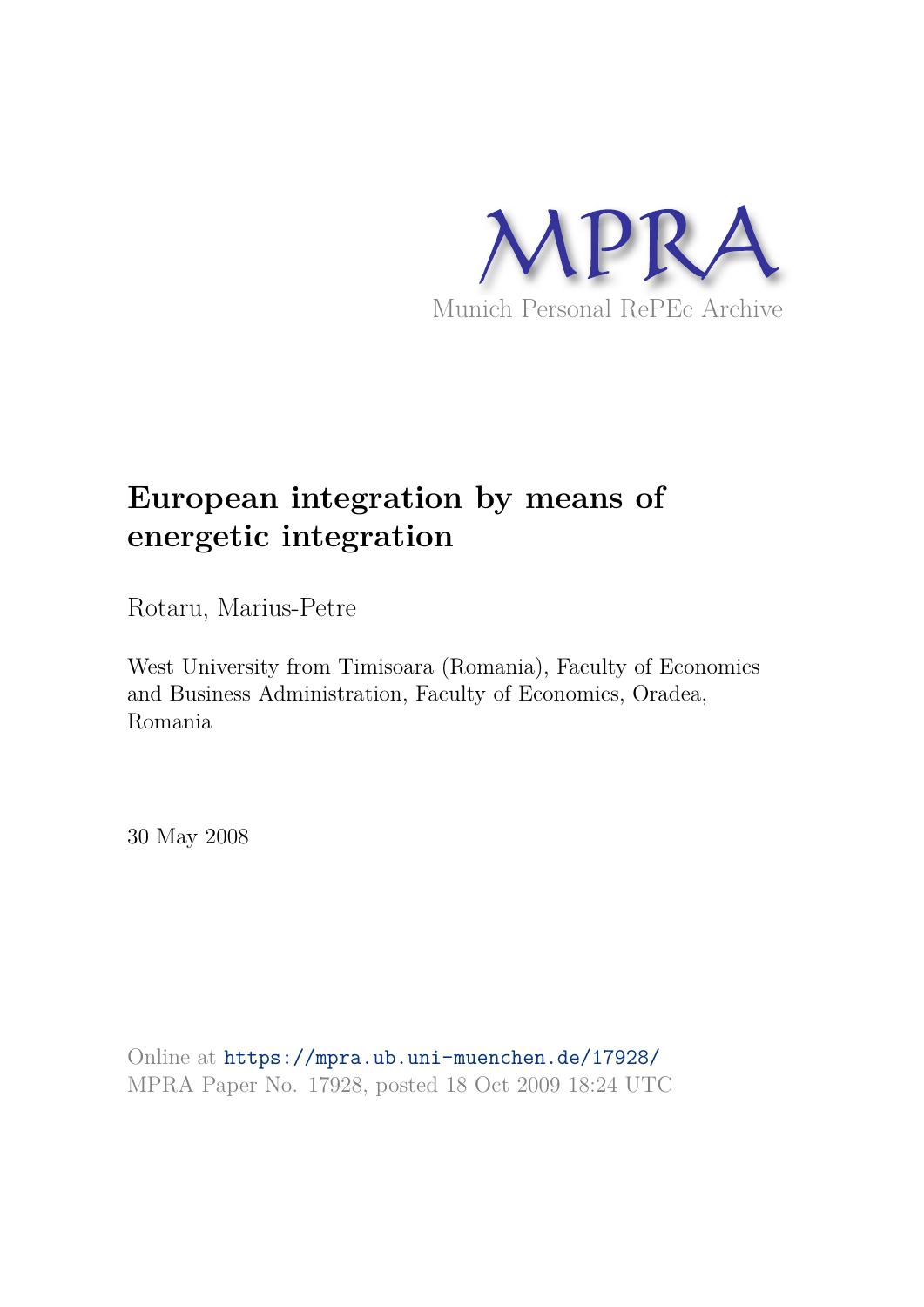

# **European integration by means of energetic integration**

Rotaru, Marius-Petre

West University from Timisoara (Romania), Faculty of Economics and Business Administration, Faculty of Economics, Oradea, Romania

30 May 2008

Online at https://mpra.ub.uni-muenchen.de/17928/ MPRA Paper No. 17928, posted 18 Oct 2009 18:24 UTC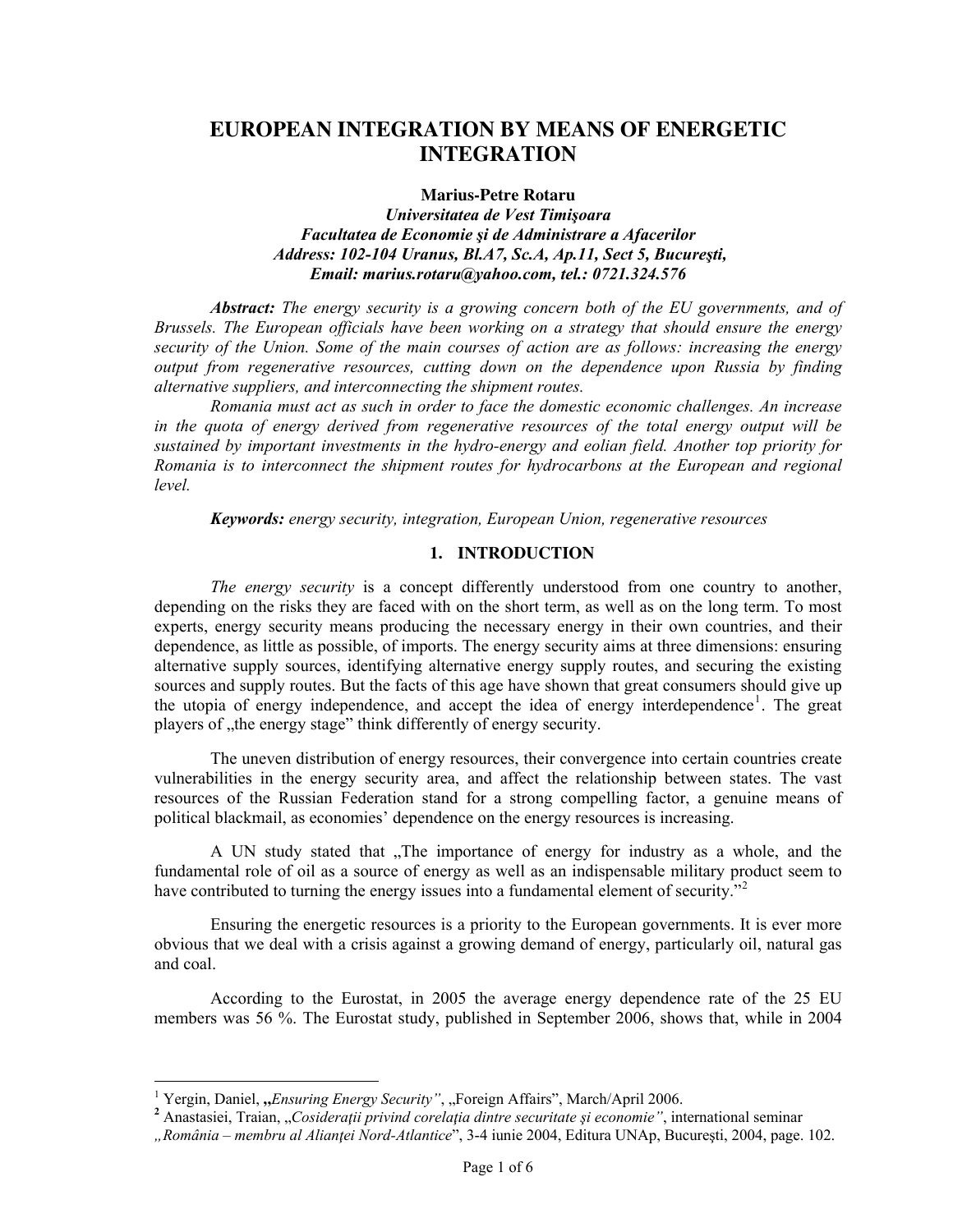# **EUROPEAN INTEGRATION BY MEANS OF ENERGETIC INTEGRATION**

#### **Marius-Petre Rotaru**

### *Universitatea de Vest Timişoara Facultatea de Economie şi de Administrare a Afacerilor Address: 102-104 Uranus, Bl.A7, Sc.A, Ap.11, Sect 5, Bucureşti, Email: marius.rotaru@yahoo.com, tel.: 0721.324.576*

*Abstract: The energy security is a growing concern both of the EU governments, and of Brussels. The European officials have been working on a strategy that should ensure the energy security of the Union. Some of the main courses of action are as follows: increasing the energy output from regenerative resources, cutting down on the dependence upon Russia by finding alternative suppliers, and interconnecting the shipment routes.* 

*Romania must act as such in order to face the domestic economic challenges. An increase in the quota of energy derived from regenerative resources of the total energy output will be sustained by important investments in the hydro-energy and eolian field. Another top priority for Romania is to interconnect the shipment routes for hydrocarbons at the European and regional level.* 

*Keywords: energy security, integration, European Union, regenerative resources* 

# **1. INTRODUCTION**

*The energy security* is a concept differently understood from one country to another, depending on the risks they are faced with on the short term, as well as on the long term. To most experts, energy security means producing the necessary energy in their own countries, and their dependence, as little as possible, of imports. The energy security aims at three dimensions: ensuring alternative supply sources, identifying alternative energy supply routes, and securing the existing sources and supply routes. But the facts of this age have shown that great consumers should give up the utopia of energy independence, and accept the idea of energy interdependence<sup>[1](#page-1-0)</sup>. The great players of "the energy stage" think differently of energy security.

The uneven distribution of energy resources, their convergence into certain countries create vulnerabilities in the energy security area, and affect the relationship between states. The vast resources of the Russian Federation stand for a strong compelling factor, a genuine means of political blackmail, as economies' dependence on the energy resources is increasing.

A UN study stated that "The importance of energy for industry as a whole, and the fundamental role of oil as a source of energy as well as an indispensable military product seem to have contributed to turning the energy issues into a fundamental element of security."<sup>[2](#page-1-1)</sup>

Ensuring the energetic resources is a priority to the European governments. It is ever more obvious that we deal with a crisis against a growing demand of energy, particularly oil, natural gas and coal.

According to the Eurostat, in 2005 the average energy dependence rate of the 25 EU members was 56 %. The Eurostat study, published in September 2006, shows that, while in 2004

<sup>&</sup>lt;sup>1</sup> Yergin, Daniel, *"Ensuring Energy Security"*, "Foreign Affairs", March/April 2006.

<span id="page-1-1"></span><span id="page-1-0"></span>**<sup>2</sup>** Anastasiei, Traian, "*Cosideraţii privind corelaţia dintre securitate şi economie"*, international seminar

*<sup>&</sup>quot;România – membru al Alianţei Nord-Atlantice*", 3-4 iunie 2004, Editura UNAp, Bucureşti, 2004, page. 102.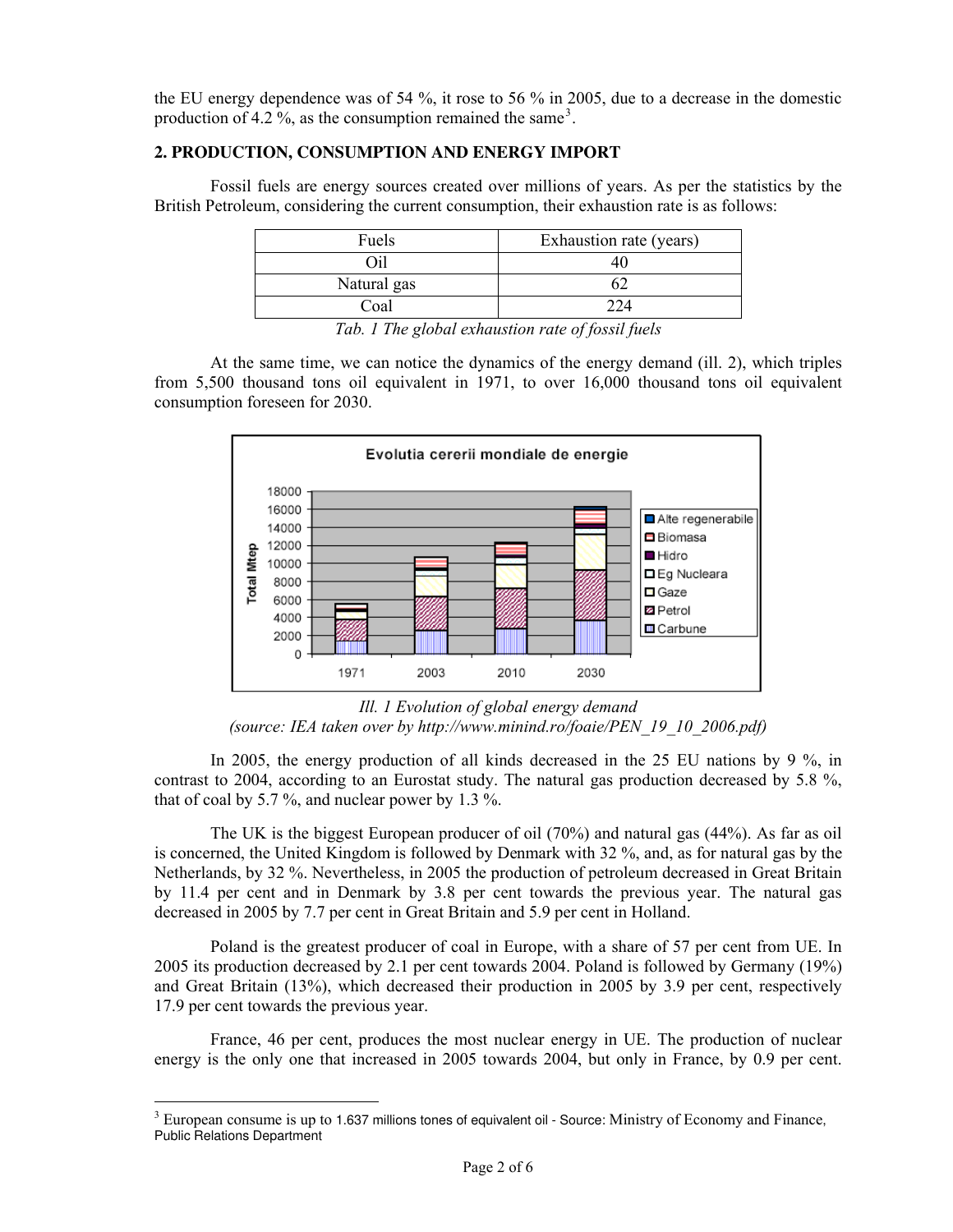the EU energy dependence was of 54 %, it rose to 56 % in 2005, due to a decrease in the domestic production of 4.2 %, as the consumption remained the same<sup>[3](#page-2-0)</sup>.

# **2. PRODUCTION, CONSUMPTION AND ENERGY IMPORT**

Fossil fuels are energy sources created over millions of years. As per the statistics by the British Petroleum, considering the current consumption, their exhaustion rate is as follows:

| Fuels        | Exhaustion rate (years) |
|--------------|-------------------------|
| ำป           |                         |
| Natural gas  |                         |
| Coal         | 224                     |
| .<br>_ _ _ _ | .                       |

*Tab. 1 The global exhaustion rate of fossil fuels* 

At the same time, we can notice the dynamics of the energy demand (ill. 2), which triples from 5,500 thousand tons oil equivalent in 1971, to over 16,000 thousand tons oil equivalent consumption foreseen for 2030.



*Ill. 1 Evolution of global energy demand (source: IEA taken over by http://www.minind.ro/foaie/PEN\_19\_10\_2006.pdf)* 

In 2005, the energy production of all kinds decreased in the 25 EU nations by 9 %, in contrast to 2004, according to an Eurostat study. The natural gas production decreased by 5.8 %, that of coal by 5.7 %, and nuclear power by 1.3 %.

The UK is the biggest European producer of oil (70%) and natural gas (44%). As far as oil is concerned, the United Kingdom is followed by Denmark with 32 %, and, as for natural gas by the Netherlands, by 32 %. Nevertheless, in 2005 the production of petroleum decreased in Great Britain by 11.4 per cent and in Denmark by 3.8 per cent towards the previous year. The natural gas decreased in 2005 by 7.7 per cent in Great Britain and 5.9 per cent in Holland.

Poland is the greatest producer of coal in Europe, with a share of 57 per cent from UE. In 2005 its production decreased by 2.1 per cent towards 2004. Poland is followed by Germany (19%) and Great Britain (13%), which decreased their production in 2005 by 3.9 per cent, respectively 17.9 per cent towards the previous year.

France, 46 per cent, produces the most nuclear energy in UE. The production of nuclear energy is the only one that increased in 2005 towards 2004, but only in France, by 0.9 per cent.

-

<span id="page-2-0"></span> $3$  European consume is up to 1.637 millions tones of equivalent oil - Source: Ministry of Economy and Finance, Public Relations Department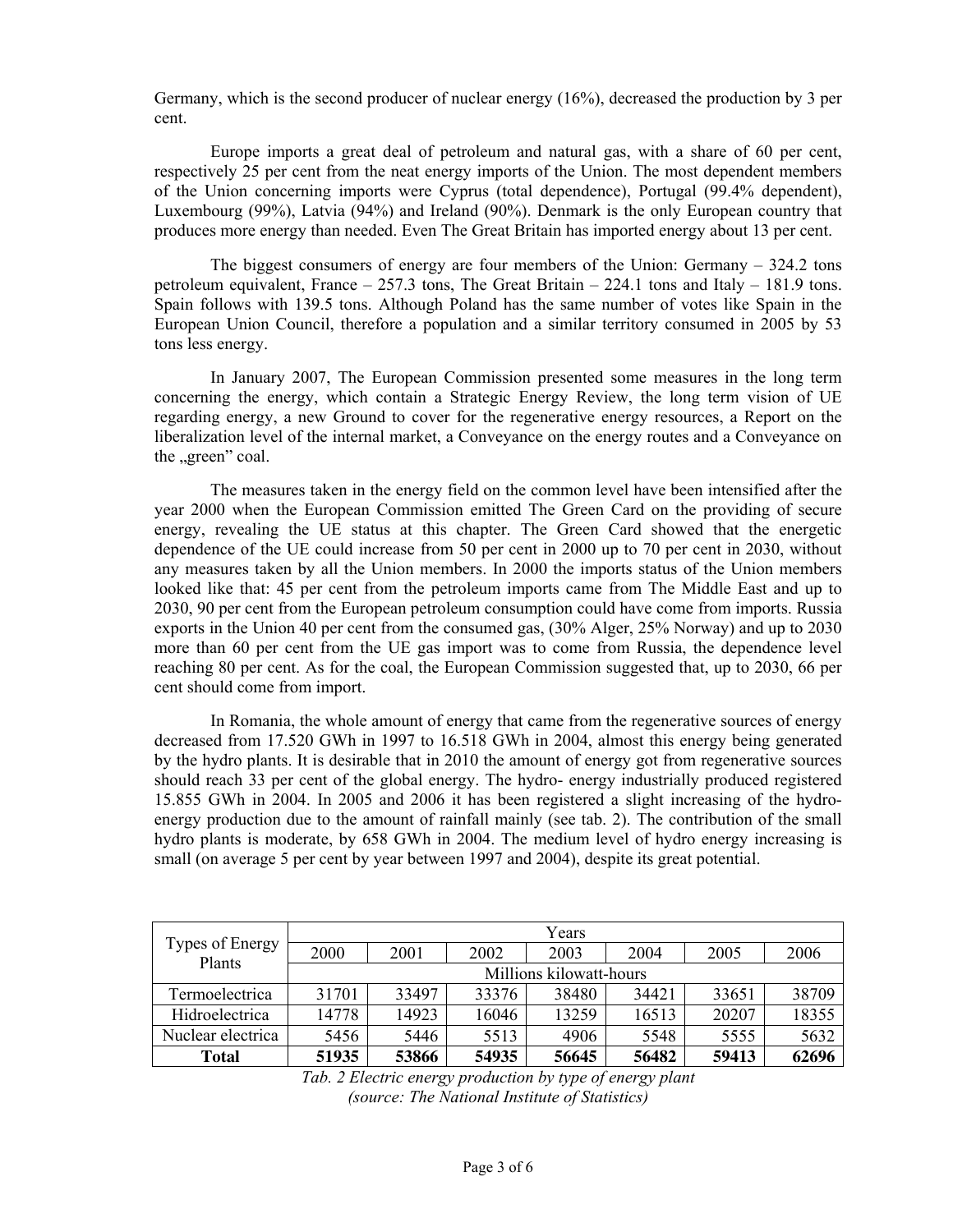Germany, which is the second producer of nuclear energy (16%), decreased the production by 3 per cent.

Europe imports a great deal of petroleum and natural gas, with a share of 60 per cent, respectively 25 per cent from the neat energy imports of the Union. The most dependent members of the Union concerning imports were Cyprus (total dependence), Portugal (99.4% dependent), Luxembourg (99%), Latvia (94%) and Ireland (90%). Denmark is the only European country that produces more energy than needed. Even The Great Britain has imported energy about 13 per cent.

The biggest consumers of energy are four members of the Union: Germany – 324.2 tons petroleum equivalent, France  $-257.3$  tons, The Great Britain  $-224.1$  tons and Italy  $-181.9$  tons. Spain follows with 139.5 tons. Although Poland has the same number of votes like Spain in the European Union Council, therefore a population and a similar territory consumed in 2005 by 53 tons less energy.

In January 2007, The European Commission presented some measures in the long term concerning the energy, which contain a Strategic Energy Review, the long term vision of UE regarding energy, a new Ground to cover for the regenerative energy resources, a Report on the liberalization level of the internal market, a Conveyance on the energy routes and a Conveyance on the "green" coal.

The measures taken in the energy field on the common level have been intensified after the year 2000 when the European Commission emitted The Green Card on the providing of secure energy, revealing the UE status at this chapter. The Green Card showed that the energetic dependence of the UE could increase from 50 per cent in 2000 up to 70 per cent in 2030, without any measures taken by all the Union members. In 2000 the imports status of the Union members looked like that: 45 per cent from the petroleum imports came from The Middle East and up to 2030, 90 per cent from the European petroleum consumption could have come from imports. Russia exports in the Union 40 per cent from the consumed gas, (30% Alger, 25% Norway) and up to 2030 more than 60 per cent from the UE gas import was to come from Russia, the dependence level reaching 80 per cent. As for the coal, the European Commission suggested that, up to 2030, 66 per cent should come from import.

In Romania, the whole amount of energy that came from the regenerative sources of energy decreased from 17.520 GWh in 1997 to 16.518 GWh in 2004, almost this energy being generated by the hydro plants. It is desirable that in 2010 the amount of energy got from regenerative sources should reach 33 per cent of the global energy. The hydro- energy industrially produced registered 15.855 GWh in 2004. In 2005 and 2006 it has been registered a slight increasing of the hydroenergy production due to the amount of rainfall mainly (see tab. 2). The contribution of the small hydro plants is moderate, by 658 GWh in 2004. The medium level of hydro energy increasing is small (on average 5 per cent by year between 1997 and 2004), despite its great potential.

| Types of Energy<br>Plants | Years                   |       |       |       |       |       |       |  |
|---------------------------|-------------------------|-------|-------|-------|-------|-------|-------|--|
|                           | 2000                    | 2001  | 2002  | 2003  | 2004  | 2005  | 2006  |  |
|                           | Millions kilowatt-hours |       |       |       |       |       |       |  |
| Termoelectrica            | 31701                   | 33497 | 33376 | 38480 | 34421 | 33651 | 38709 |  |
| Hidroelectrica            | 14778                   | 14923 | 16046 | 13259 | 16513 | 20207 | 18355 |  |
| Nuclear electrica         | 5456                    | 5446  | 5513  | 4906  | 5548  | 5555  | 5632  |  |
| <b>Total</b>              | 51935                   | 53866 | 54935 | 56645 | 56482 | 59413 | 62696 |  |

*Tab. 2 Electric energy production by type of energy plant (source: The National Institute of Statistics)*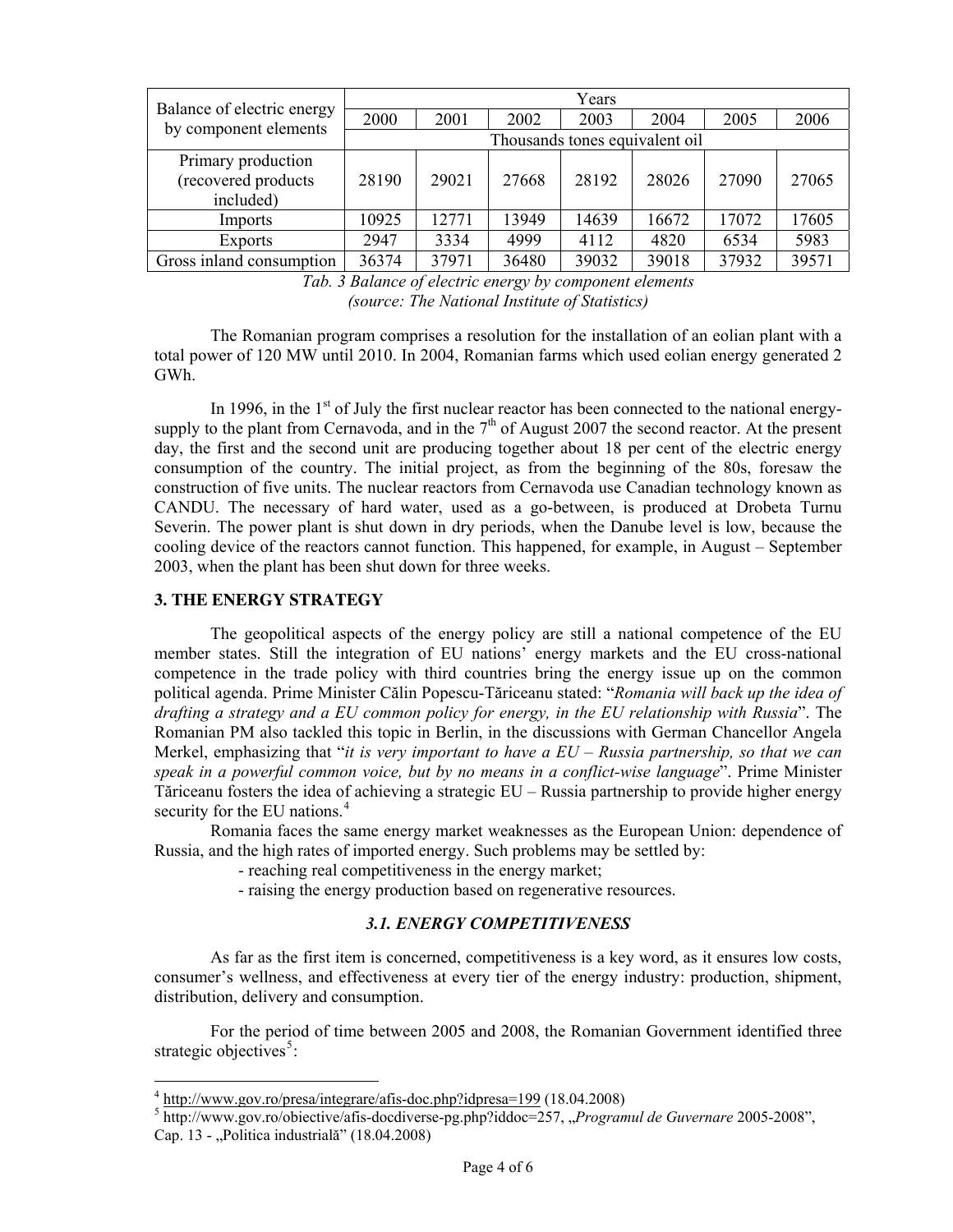| Balance of electric energy<br>by component elements    | Years                          |       |       |       |       |       |       |
|--------------------------------------------------------|--------------------------------|-------|-------|-------|-------|-------|-------|
|                                                        | 2000                           | 2001  | 2002  | 2003  | 2004  | 2005  | 2006  |
|                                                        | Thousands tones equivalent oil |       |       |       |       |       |       |
| Primary production<br>(recovered products<br>included) | 28190                          | 29021 | 27668 | 28192 | 28026 | 27090 | 27065 |
| Imports                                                | 10925                          | 12771 | 13949 | 14639 | 16672 | 17072 | 17605 |
| <b>Exports</b>                                         | 2947                           | 3334  | 4999  | 4112  | 4820  | 6534  | 5983  |
| Gross inland consumption                               | 36374                          | 37971 | 36480 | 39032 | 39018 | 37932 | 39571 |

*Tab. 3 Balance of electric energy by component elements (source: The National Institute of Statistics)* 

The Romanian program comprises a resolution for the installation of an eolian plant with a total power of 120 MW until 2010. In 2004, Romanian farms which used eolian energy generated 2 GWh.

In 1996, in the  $1<sup>st</sup>$  of July the first nuclear reactor has been connected to the national energysupply to the plant from Cernavoda, and in the  $7<sup>th</sup>$  of August 2007 the second reactor. At the present day, the first and the second unit are producing together about 18 per cent of the electric energy consumption of the country. The initial project, as from the beginning of the 80s, foresaw the construction of five units. The nuclear reactors from Cernavoda use Canadian technology known as CANDU. The necessary of hard water, used as a go-between, is produced at Drobeta Turnu Severin. The power plant is shut down in dry periods, when the Danube level is low, because the cooling device of the reactors cannot function. This happened, for example, in August – September 2003, when the plant has been shut down for three weeks.

#### **3. THE ENERGY STRATEGY**

-

The geopolitical aspects of the energy policy are still a national competence of the EU member states. Still the integration of EU nations' energy markets and the EU cross-national competence in the trade policy with third countries bring the energy issue up on the common political agenda. Prime Minister Călin Popescu-Tăriceanu stated: "*Romania will back up the idea of drafting a strategy and a EU common policy for energy, in the EU relationship with Russia*". The Romanian PM also tackled this topic in Berlin, in the discussions with German Chancellor Angela Merkel, emphasizing that "*it is very important to have a EU – Russia partnership, so that we can speak in a powerful common voice, but by no means in a conflict-wise language*". Prime Minister Tăriceanu fosters the idea of achieving a strategic EU – Russia partnership to provide higher energy securityfor the EU nations.<sup>4</sup>

Romania faces the same energy market weaknesses as the European Union: dependence of Russia, and the high rates of imported energy. Such problems may be settled by:

- reaching real competitiveness in the energy market;

- raising the energy production based on regenerative resources.

# *3.1. ENERGY COMPETITIVENESS*

As far as the first item is concerned, competitiveness is a key word, as it ensures low costs, consumer's wellness, and effectiveness at every tier of the energy industry: production, shipment, distribution, delivery and consumption.

For the period of time between 2005 and 2008, the Romanian Government identified three strategic objectives<sup>[5](#page-4-1)</sup>:

<sup>&</sup>lt;sup>4</sup> <http://www.gov.ro/presa/integrare/afis-doc.php?idpresa=199>(18.04.2008)

<span id="page-4-1"></span><span id="page-4-0"></span><sup>5</sup> <http://www.gov.ro/obiective/afis-docdiverse-pg.php?iddoc=257>, "*Programul de Guvernare* 2005-2008", Cap. 13 - "Politica industrială" (18.04.2008)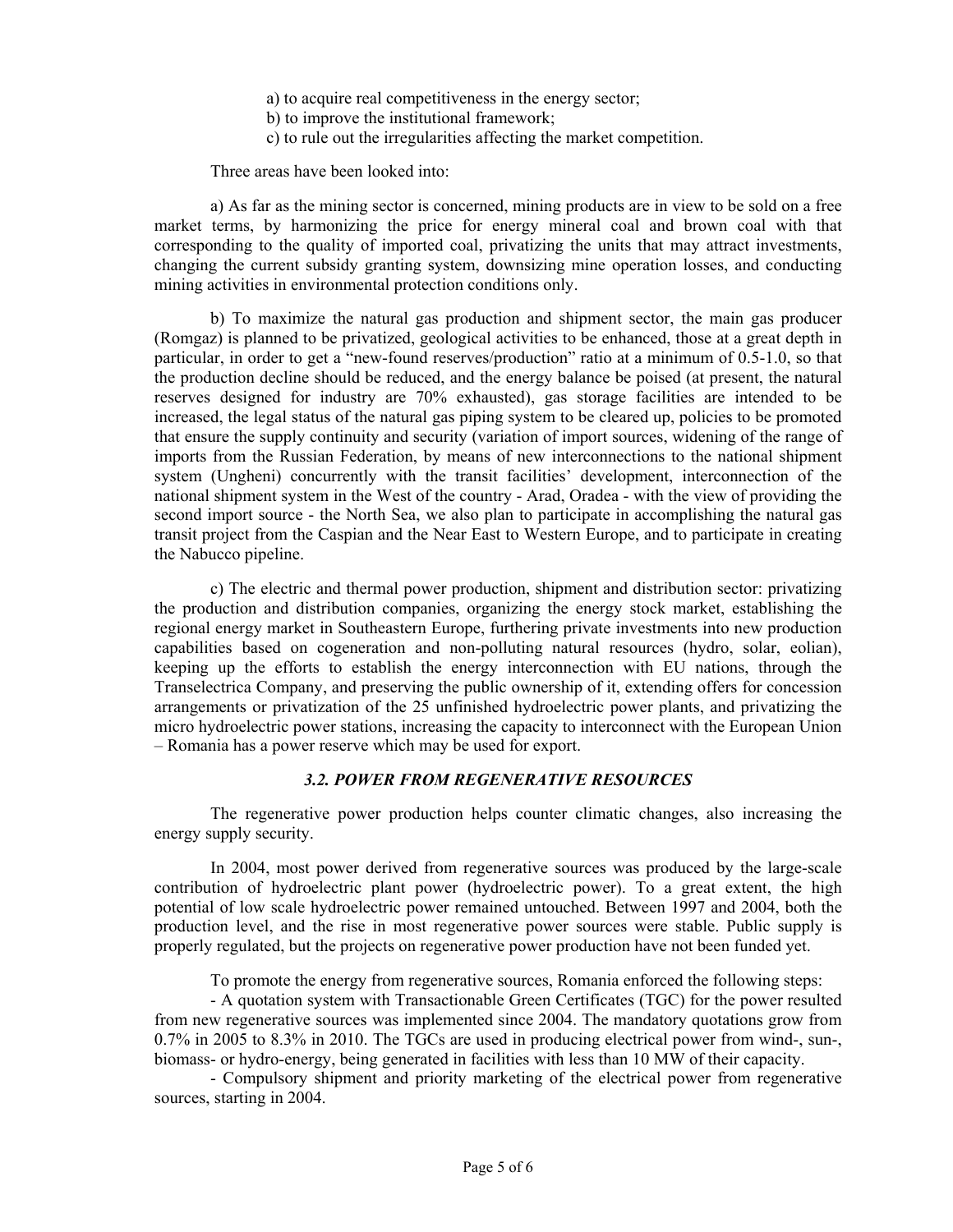a) to acquire real competitiveness in the energy sector;

b) to improve the institutional framework;

c) to rule out the irregularities affecting the market competition.

Three areas have been looked into:

a) As far as the mining sector is concerned, mining products are in view to be sold on a free market terms, by harmonizing the price for energy mineral coal and brown coal with that corresponding to the quality of imported coal, privatizing the units that may attract investments, changing the current subsidy granting system, downsizing mine operation losses, and conducting mining activities in environmental protection conditions only.

b) To maximize the natural gas production and shipment sector, the main gas producer (Romgaz) is planned to be privatized, geological activities to be enhanced, those at a great depth in particular, in order to get a "new-found reserves/production" ratio at a minimum of 0.5-1.0, so that the production decline should be reduced, and the energy balance be poised (at present, the natural reserves designed for industry are 70% exhausted), gas storage facilities are intended to be increased, the legal status of the natural gas piping system to be cleared up, policies to be promoted that ensure the supply continuity and security (variation of import sources, widening of the range of imports from the Russian Federation, by means of new interconnections to the national shipment system (Ungheni) concurrently with the transit facilities' development, interconnection of the national shipment system in the West of the country - Arad, Oradea - with the view of providing the second import source - the North Sea, we also plan to participate in accomplishing the natural gas transit project from the Caspian and the Near East to Western Europe, and to participate in creating the Nabucco pipeline.

c) The electric and thermal power production, shipment and distribution sector: privatizing the production and distribution companies, organizing the energy stock market, establishing the regional energy market in Southeastern Europe, furthering private investments into new production capabilities based on cogeneration and non-polluting natural resources (hydro, solar, eolian), keeping up the efforts to establish the energy interconnection with EU nations, through the Transelectrica Company, and preserving the public ownership of it, extending offers for concession arrangements or privatization of the 25 unfinished hydroelectric power plants, and privatizing the micro hydroelectric power stations, increasing the capacity to interconnect with the European Union – Romania has a power reserve which may be used for export.

# *3.2. POWER FROM REGENERATIVE RESOURCES*

The regenerative power production helps counter climatic changes, also increasing the energy supply security.

In 2004, most power derived from regenerative sources was produced by the large-scale contribution of hydroelectric plant power (hydroelectric power). To a great extent, the high potential of low scale hydroelectric power remained untouched. Between 1997 and 2004, both the production level, and the rise in most regenerative power sources were stable. Public supply is properly regulated, but the projects on regenerative power production have not been funded yet.

To promote the energy from regenerative sources, Romania enforced the following steps:

- A quotation system with Transactionable Green Certificates (TGC) for the power resulted from new regenerative sources was implemented since 2004. The mandatory quotations grow from 0.7% in 2005 to 8.3% in 2010. The TGCs are used in producing electrical power from wind-, sun-, biomass- or hydro-energy, being generated in facilities with less than 10 MW of their capacity.

- Compulsory shipment and priority marketing of the electrical power from regenerative sources, starting in 2004.